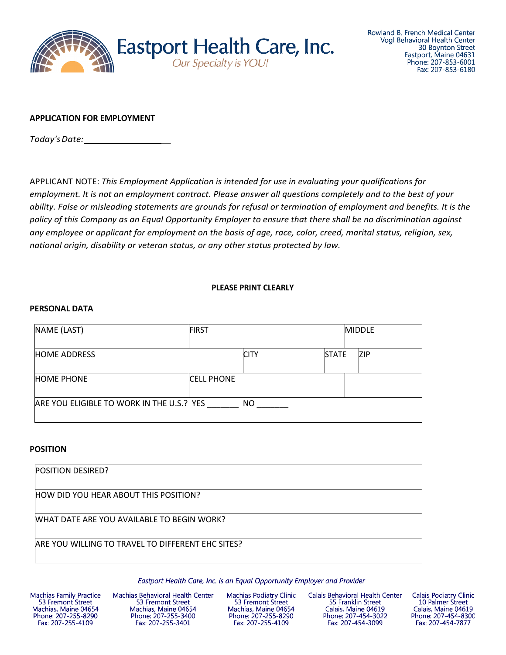

## **APPLICATION FOR EMPLOYMENT**

*Today'sDate: \_*

APPLICANT NOTE: *This Employment Application is intended for use in evaluating your qualifications for employment. It is not an employment contract. Please answer all questions completely and to the best of your ability. False or misleading statements are grounds for refusal or termination of employment and benefits. It is the policy of this Company as an Equal Opportunity Employer to ensure that there shall be no discrimination against any employee or applicant for employment on the basis of age, race, color, creed, marital status, religion, sex, national origin, disability or veteran status, or any other status protected by law.*

## **PLEASE PRINT CLEARLY**

#### **PERSONAL DATA**

| NAME (LAST)                                            | <b>FIRST</b>      |              | <b>MIDDLE</b> |
|--------------------------------------------------------|-------------------|--------------|---------------|
| <b>HOME ADDRESS</b>                                    | <b>CITY</b>       | <b>STATE</b> | ZIP           |
| <b>HOME PHONE</b>                                      | <b>CELL PHONE</b> |              |               |
| ARE YOU ELIGIBLE TO WORK IN THE U.S.? YES<br><b>NO</b> |                   |              |               |

#### **POSITION**

| <b>POSITION DESIRED?</b>                          |  |
|---------------------------------------------------|--|
| HOW DID YOU HEAR ABOUT THIS POSITION?             |  |
| WHAT DATE ARE YOU AVAILABLE TO BEGIN WORK?        |  |
| ARE YOU WILLING TO TRAVEL TO DIFFERENT EHC SITES? |  |

Eastport Health Care, Inc. is an Equal Opportunity Employer and Provider

**Machias Family Practice** 53 Fremont Street Machias, Maine 04654 Phone: 207-255-8290 Fax: 207-255-4109

Machias Behavioral Health Center 53 Fremont Street Machias, Maine 04654 Phone: 207-255-3400 Fax: 207-255-3401

**Machias Podiatry Clinic** 53 Fremont Street Machias, Maine 04654 Phone: 207-255-8290 Fax: 207-255-4109

Calais Behavioral Health Center 55 Franklin Street Calais, Maine 04619 Phone: 207-454-3022 Fax: 207-454-3099

**Calais Podiatry Clinic** 10 Palmer Street Calais, Maine 04619 Phone: 207-454-8300 Fax: 207-454-7877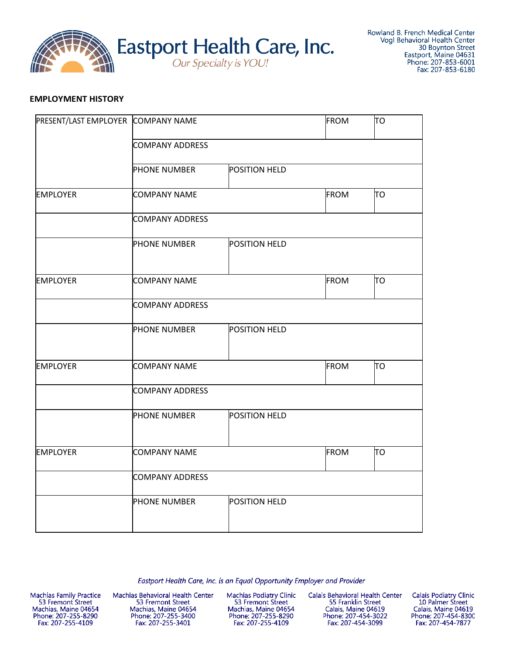

## **EMPLOYMENT HISTORY**

| PRESENT/LAST EMPLOYER COMPANY NAME |                        |               | <b>FROM</b> | TO |
|------------------------------------|------------------------|---------------|-------------|----|
|                                    | <b>COMPANY ADDRESS</b> |               |             |    |
|                                    | <b>PHONE NUMBER</b>    | POSITION HELD |             |    |
| <b>EMPLOYER</b>                    | <b>COMPANY NAME</b>    |               | <b>FROM</b> | TO |
|                                    | <b>COMPANY ADDRESS</b> |               |             |    |
|                                    | <b>PHONE NUMBER</b>    | POSITION HELD |             |    |
| <b>EMPLOYER</b>                    | <b>COMPANY NAME</b>    |               | <b>FROM</b> | TО |
|                                    | <b>COMPANY ADDRESS</b> |               |             |    |
|                                    | <b>PHONE NUMBER</b>    | POSITION HELD |             |    |
| <b>EMPLOYER</b>                    | <b>COMPANY NAME</b>    |               | <b>FROM</b> | ΙЮ |
|                                    | <b>COMPANY ADDRESS</b> |               |             |    |
|                                    | <b>PHONE NUMBER</b>    | POSITION HELD |             |    |
| <b>EMPLOYER</b>                    | <b>COMPANY NAME</b>    |               | <b>FROM</b> | TO |
|                                    | <b>COMPANY ADDRESS</b> |               |             |    |
|                                    | <b>PHONE NUMBER</b>    | POSITION HELD |             |    |

Eastport Health Care, Inc. is an Equal Opportunity Employer and Provider

Machias Family Practice<br>53 Fremont Street Machias, Maine 04654<br>Phone: 207-255-8290 Fax: 207-255-4109

Machias Behavioral Health Center 53 Fremont Street Machias, Maine 04654 Phone: 207-255-3400<br>Fax: 207-255-3401

**Machias Podiatry Clinic** 53 Fremont Street Machias, Maine 04654<br>Phone: 207-255-8290<br>Fax: 207-255-4109

Calais Behavioral Health Center 55 Franklin Street Calais, Maine 04619<br>Phone: 207-454-3022 Fax: 207-454-3099

Calais Podiatry Clinic 10 Palmer Street Calais, Maine 04619<br>Phone: 207-454-8300 Fax: 207-454-7877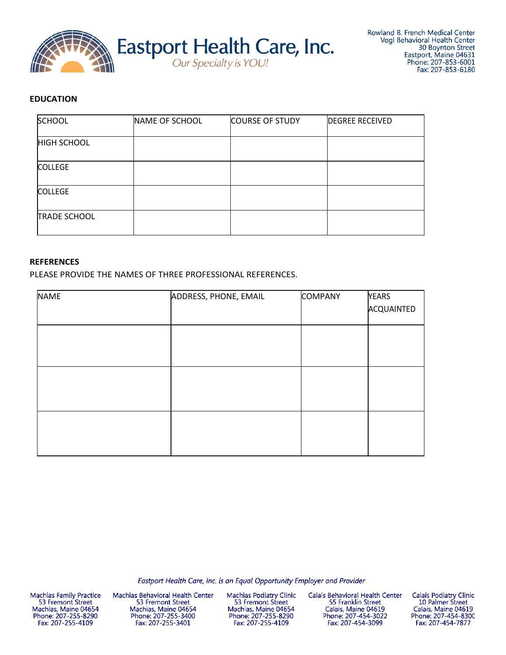

# **EDUCATION**

| <b>SCHOOL</b>       | NAME OF SCHOOL | <b>COURSE OF STUDY</b> | <b>DEGREE RECEIVED</b> |
|---------------------|----------------|------------------------|------------------------|
| <b>HIGH SCHOOL</b>  |                |                        |                        |
| <b>COLLEGE</b>      |                |                        |                        |
| <b>COLLEGE</b>      |                |                        |                        |
| <b>TRADE SCHOOL</b> |                |                        |                        |

#### **REFERENCES**

PLEASE PROVIDE THE NAMES OF THREE PROFESSIONAL REFERENCES.

| ADDRESS, PHONE, EMAIL | <b>YEARS</b>   |
|-----------------------|----------------|
|                       | ACQUAINTED     |
|                       |                |
|                       |                |
|                       |                |
|                       |                |
|                       |                |
|                       |                |
|                       |                |
|                       |                |
|                       |                |
|                       |                |
|                       | <b>COMPANY</b> |

Eastport Health Care, Inc. is an Equal Opportunity Employer and Provider

Machias Family Practice<br>53 Fremont Street Machias, Maine 04654 Phone: 207-255-8290 Fax: 207-255-4109

Machias Behavioral Health Center 53 Fremont Street Machias, Maine 04654 Phone: 207-255-3400 Fax: 207-255-3401

**Machias Podiatry Clinic** 53 Fremont Street Machias, Maine 04654 Phone: 207-255-8290<br>Fax: 207-255-4109

Calais Behavioral Health Center 55 Franklin Street Calais, Maine 04619<br>Phone: 207-454-3022 Fax: 207-454-3099

**Calais Podiatry Clinic** 10 Palmer Street Calais, Maine 04619<br>Phone: 207-454-8300 Fax: 207-454-7877